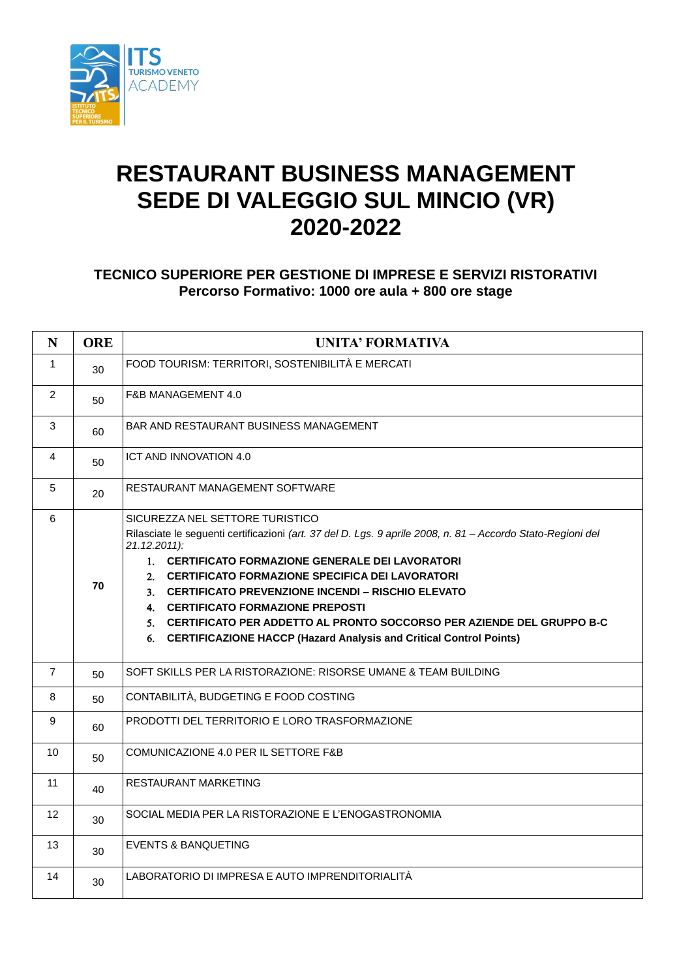

## **RESTAURANT BUSINESS MANAGEMENT SEDE DI VALEGGIO SUL MINCIO (VR) 2020-2022**

## **TECNICO SUPERIORE PER GESTIONE DI IMPRESE E SERVIZI RISTORATIVI Percorso Formativo: 1000 ore aula + 800 ore stage**

| $\mathbf N$     | <b>ORE</b> | <b>UNITA' FORMATIVA</b>                                                                                                                                                                                                                                                                                                                                                                                                                                                                                                      |
|-----------------|------------|------------------------------------------------------------------------------------------------------------------------------------------------------------------------------------------------------------------------------------------------------------------------------------------------------------------------------------------------------------------------------------------------------------------------------------------------------------------------------------------------------------------------------|
| $\mathbf 1$     | 30         | FOOD TOURISM: TERRITORI, SOSTENIBILITÀ E MERCATI                                                                                                                                                                                                                                                                                                                                                                                                                                                                             |
| $\overline{2}$  | 50         | F&B MANAGEMENT 4.0                                                                                                                                                                                                                                                                                                                                                                                                                                                                                                           |
| 3               | 60         | BAR AND RESTAURANT BUSINESS MANAGEMENT                                                                                                                                                                                                                                                                                                                                                                                                                                                                                       |
| $\overline{4}$  | 50         | ICT AND INNOVATION 4.0                                                                                                                                                                                                                                                                                                                                                                                                                                                                                                       |
| 5               | 20         | RESTAURANT MANAGEMENT SOFTWARE                                                                                                                                                                                                                                                                                                                                                                                                                                                                                               |
| 6               | 70         | SICUREZZA NEL SETTORE TURISTICO<br>Rilasciate le seguenti certificazioni (art. 37 del D. Lgs. 9 aprile 2008, n. 81 - Accordo Stato-Regioni del<br>21.12.2011):<br>1. CERTIFICATO FORMAZIONE GENERALE DEI LAVORATORI<br>2. CERTIFICATO FORMAZIONE SPECIFICA DEI LAVORATORI<br>3. CERTIFICATO PREVENZIONE INCENDI – RISCHIO ELEVATO<br>4. CERTIFICATO FORMAZIONE PREPOSTI<br>5. CERTIFICATO PER ADDETTO AL PRONTO SOCCORSO PER AZIENDE DEL GRUPPO B-C<br>6. CERTIFICAZIONE HACCP (Hazard Analysis and Critical Control Points) |
| $\overline{7}$  | 50         | SOFT SKILLS PER LA RISTORAZIONE: RISORSE UMANE & TEAM BUILDING                                                                                                                                                                                                                                                                                                                                                                                                                                                               |
| 8               | 50         | CONTABILITÀ, BUDGETING E FOOD COSTING                                                                                                                                                                                                                                                                                                                                                                                                                                                                                        |
| 9               | 60         | PRODOTTI DEL TERRITORIO E LORO TRASFORMAZIONE                                                                                                                                                                                                                                                                                                                                                                                                                                                                                |
| 10              | 50         | COMUNICAZIONE 4.0 PER IL SETTORE F&B                                                                                                                                                                                                                                                                                                                                                                                                                                                                                         |
| 11              | 40         | <b>RESTAURANT MARKETING</b>                                                                                                                                                                                                                                                                                                                                                                                                                                                                                                  |
| 12 <sup>2</sup> | 30         | SOCIAL MEDIA PER LA RISTORAZIONE E L'ENOGASTRONOMIA                                                                                                                                                                                                                                                                                                                                                                                                                                                                          |
| 13              | 30         | <b>EVENTS &amp; BANQUETING</b>                                                                                                                                                                                                                                                                                                                                                                                                                                                                                               |
| 14              | 30         | LABORATORIO DI IMPRESA E AUTO IMPRENDITORIALITÀ                                                                                                                                                                                                                                                                                                                                                                                                                                                                              |